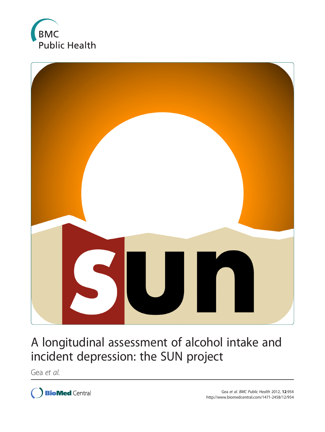



# A longitudinal assessment of alcohol intake and incident depression: the SUN project

Gea et al.

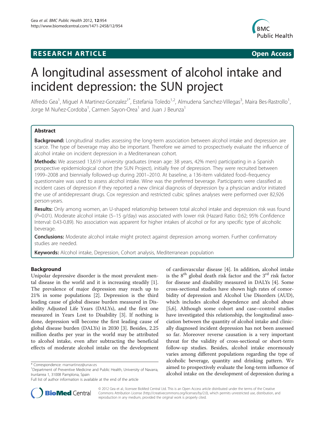## **RESEARCH ARTICLE Example 2018 12:00 Department of the CONNECTION CONNECTION CONNECTION CONNECTION**



## A longitudinal assessment of alcohol intake and incident depression: the SUN project

Alfredo Gea<sup>1</sup>, Miguel A Martinez-Gonzalez<sup>1\*</sup>, Estefania Toledo<sup>1,2</sup>, Almudena Sanchez-Villegas<sup>3</sup>, Maira Bes-Rastrollo<sup>1</sup> , Jorge M Nuñez-Cordoba<sup>1</sup>, Carmen Sayon-Orea<sup>1</sup> and Juan J Beunza<sup>1</sup>

## **Abstract**

Background: Longitudinal studies assessing the long-term association between alcohol intake and depression are scarce. The type of beverage may also be important. Therefore we aimed to prospectively evaluate the influence of alcohol intake on incident depression in a Mediterranean cohort.

Methods: We assessed 13,619 university graduates (mean age: 38 years, 42% men) participating in a Spanish prospective epidemiological cohort (the SUN Project), initially free of depression. They were recruited between 1999–2008 and biennially followed-up during 2001–2010. At baseline, a 136-item validated food–frequency questionnaire was used to assess alcohol intake. Wine was the preferred beverage. Participants were classified as incident cases of depression if they reported a new clinical diagnosis of depression by a physician and/or initiated the use of antidepressant drugs. Cox regression and restricted cubic splines analyses were performed over 82,926 person-years.

Results: Only among women, an U-shaped relationship between total alcohol intake and depression risk was found (P=0.01). Moderate alcohol intake (5–15 g/day) was associated with lower risk (Hazard Ratio: 0.62; 95% Confidence Interval: 0.43-0.89). No association was apparent for higher intakes of alcohol or for any specific type of alcoholic beverage.

**Conclusions:** Moderate alcohol intake might protect against depression among women. Further confirmatory studies are needed.

Keywords: Alcohol intake, Depression, Cohort analysis, Mediterranean population

## Background

Unipolar depressive disorder is the most prevalent mental disease in the world and it is increasing steadily [\[1](#page-8-0)]. The prevalence of major depression may reach up to 21% in some populations [[2\]](#page-8-0). Depression is the third leading cause of global disease burden measured in Disability Adjusted Life Years (DALYs), and the first one measured in Years Lost to Disability [\[3\]](#page-8-0). If nothing is done, depression will become the first leading cause of global disease burden (DALYs) in 2030 [\[3](#page-8-0)]. Besides, 2.25 million deaths per year in the world may be attributed to alcohol intake, even after subtracting the beneficial effects of moderate alcohol intake on the development

of cardiovascular disease [\[4](#page-8-0)]. In addition, alcohol intake is the  $8<sup>th</sup>$  global death risk factor and the  $3<sup>rd</sup>$  risk factor for disease and disability measured in DALYs [[4\]](#page-8-0). Some cross-sectional studies have shown high rates of comorbidity of depression and Alcohol Use Disorders (AUD), which includes alcohol dependence and alcohol abuse [[5,6\]](#page-8-0). Although some cohort and case–control studies have investigated this relationship, the longitudinal association between the quantity of alcohol intake and clinically diagnosed incident depression has not been assessed so far. Moreover reverse causation is a very important threat for the validity of cross-sectional or short-term follow-up studies. Besides, alcohol intake enormously varies among different populations regarding the type of alcoholic beverage, quantity and drinking pattern. We aimed to prospectively evaluate the long-term influence of alcohol intake on the development of depression during a



© 2012 Gea et al.; licensee BioMed Central Ltd. This is an Open Access article distributed under the terms of the Creative Commons Attribution License (http://creativecommons.org/licenses/by/2.0), which permits unrestricted use, distribution, and reproduction in any medium, provided the original work is properly cited.

<sup>\*</sup> Correspondence: mamartinez@unav.es <sup>1</sup>

<sup>&</sup>lt;sup>1</sup>Department of Preventive Medicine and Public Health, University of Navarra, Irunlarrea 1, 31008 Pamplona, Spain

Full list of author information is available at the end of the article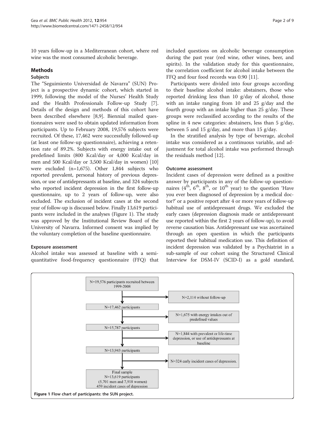10 years follow-up in a Mediterranean cohort, where red wine was the most consumed alcoholic beverage.

### Methods

#### Subjects

The "Seguimiento Universidad de Navarra" (SUN) Project is a prospective dynamic cohort, which started in 1999, following the model of the Nurses' Health Study and the Health Professionals Follow-up Study [\[7](#page-8-0)]. Details of the design and methods of this cohort have been described elsewhere [\[8,9](#page-8-0)]. Biennial mailed questionnaires were used to obtain updated information from participants. Up to February 2008, 19,576 subjects were recruited. Of these, 17,462 were successfully followed-up (at least one follow-up questionnaire), achieving a retention rate of 89.2%. Subjects with energy intake out of predefined limits (800 Kcal/day or 4,000 Kcal/day in men and 500 Kcal/day or 3,500 Kcal/day in women) [[10](#page-8-0)] were excluded (n=1,675). Other 1,844 subjects who reported prevalent, personal history of previous depression, or use of antidepressants at baseline, and 324 subjects who reported incident depression in the first follow-up questionnaire, up to 2 years of follow-up, were also excluded. The exclusion of incident cases at the second year of follow-up is discussed below. Finally 13,619 participants were included in the analyses (Figure 1). The study was approved by the Institutional Review Board of the University of Navarra. Informed consent was implied by the voluntary completion of the baseline questionnaire.

## Exposure assessment

Alcohol intake was assessed at baseline with a semiquantitative food-frequency questionnaire (FFQ) that included questions on alcoholic beverage consumption during the past year (red wine, other wines, beer, and spirits). In the validation study for this questionnaire, the correlation coefficient for alcohol intake between the FFQ and four food records was 0.90 [\[11\]](#page-8-0).

Participants were divided into four groups according to their baseline alcohol intake: abstainers, those who reported drinking less than 10 g/day of alcohol, those with an intake ranging from 10 and 25 g/day and the fourth group with an intake higher than 25 g/day. These groups were reclassified according to the results of the spline in 4 new categories: abstainers, less than 5 g/day, between 5 and 15 g/day, and more than 15 g/day.

In the stratified analysis by type of beverage, alcohol intake was considered as a continuous variable, and adjustment for total alcohol intake was performed through the residuals method [[12](#page-8-0)].

#### Outcome assessment

Incident cases of depression were defined as a positive answer by participants in any of the follow-up questionnaires  $(4^{th}, 6^{th}, 8^{th}, or 10^{th}$  year) to the question 'Have you ever been diagnosed of depression by a medical doctor?' or a positive report after 4 or more years of follow-up habitual use of antidepressant drugs. We excluded the early cases (depression diagnosis made or antidepressant use reported within the first 2 years of follow-up), to avoid reverse causation bias. Antidepressant use was ascertained through an open question in which the participants reported their habitual medication use. This definition of incident depression was validated by a Psychiatrist in a sub-sample of our cohort using the Structured Clinical Interview for DSM-IV (SCID-I) as a gold standard,

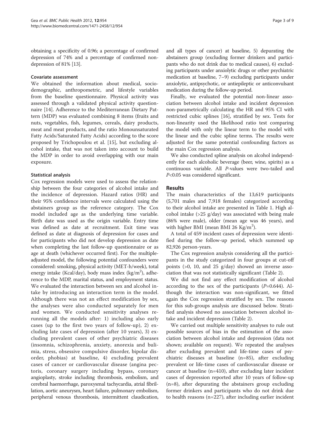obtaining a specificity of 0.96; a percentage of confirmed depression of 74% and a percentage of confirmed nondepression of 81% [[13](#page-8-0)].

#### Covariate assessment

We obtained the information about medical, sociodemographic, anthropometric, and lifestyle variables from the baseline questionnaire. Physical activity was assessed through a validated physical activity questionnaire [[14](#page-8-0)]. Adherence to the Mediterranean Dietary Pattern (MDP) was evaluated combining 8 items (fruits and nuts, vegetables, fish, legumes, cereals, dairy products, meat and meat products, and the ratio Monounsaturated Fatty Acids/Saturated Fatty Acids) according to the score proposed by Trichopoulou et al. [[15\]](#page-8-0), but excluding alcohol intake, that was not taken into account to build the MDP in order to avoid overlapping with our main exposure.

## Statistical analysis

Cox regression models were used to assess the relationship between the four categories of alcohol intake and the incidence of depression. Hazard ratios (HR) and their 95% confidence intervals were calculated using the abstainers group as the reference category. The Cox model included age as the underlying time variable. Birth date was used as the origin variable. Entry time was defined as date at recruitment. Exit time was defined as date at diagnosis of depression for cases and for participants who did not develop depression as date when completing the last follow-up questionnaire or as age at death (whichever occurred first). For the multipleadjusted model, the following potential confounders were considered: smoking, physical activity (MET-h/week), total energy intake (Kcal/day), body mass index (kg/m<sup>2</sup>), adherence to the MDP, marital status, and employment status. We evaluated the interaction between sex and alcohol intake by introducing an interaction term in the model. Although there was not an effect modification by sex, the analyses were also conducted separately for men and women. We conducted sensitivity analyses rerunning all the models after: 1) including also early cases (up to the first two years of follow-up), 2) excluding late cases of depression (after 10 years), 3) excluding prevalent cases of other psychiatric diseases (insomnia, schizophrenia, anxiety, anorexia and bulimia, stress, obsessive compulsive disorder, bipolar disorder, phobias) at baseline, 4) excluding prevalent cases of cancer or cardiovascular disease (angina pectoris, coronary surgery including bypass, coronary angioplasty, stroke including thrombosis, embolism, and cerebral haemorrhage, paroxysmal tachycardia, atrial fibrillation, aortic aneurysm, heart failure, pulmonary embolism, peripheral venous thrombosis, intermittent claudication, and all types of cancer) at baseline, 5) depurating the abstainers group (excluding former drinkers and participants who do not drink due to medical causes), 6) excluding participants under anxiolytic drugs or other psychiatric medication at baseline, 7–9) excluding participants under anxiolytic, antipsychotic, or antiepileptic or anticonvulsant medication during the follow-up period.

Finally, we evaluated the potential non-linear association between alcohol intake and incident depression non-parametrically calculating the HR and 95% CI with restricted cubic splines [\[16](#page-8-0)], stratified by sex. Tests for non-linearity used the likelihood ratio test comparing the model with only the linear term to the model with the linear and the cubic spline terms. The results were adjusted for the same potential confounding factors as the main Cox regression analysis.

We also conducted spline analysis on alcohol independently for each alcoholic beverage (beer, wine, spirits) as a continuous variable. All P-values were two-tailed and P<0.05 was considered significant.

## **Results**

The main characteristics of the 13,619 participants (5,701 males and 7,918 females) categorized according to their alcohol intake are presented in Table [1](#page-4-0). High alcohol intake  $(>25 \text{ g/day})$  was associated with being male (86% were male), older (mean age was 46 years), and with higher BMI (mean BMI 26  $\text{Kg/m}^2$ ).

A total of 459 incident cases of depression were identified during the follow-up period, which summed up 82,926 person-years.

The Cox regression analysis considering all the participants in the study categorized in four groups at cut-off points (>0, 10, and 25 g/day) showed an inverse association that was not statistically significant (Table [2\)](#page-4-0).

We did not find any effect modification of alcohol according to the sex of the participants  $(P=0.644)$ . Although the interaction was non-significant, we fitted again the Cox regression stratified by sex. The reasons for this sub-groups analysis are discussed below. Stratified analysis showed no association between alcohol intake and incident depression (Table [2](#page-4-0)).

We carried out multiple sensitivity analyses to rule out possible sources of bias in the estimation of the association between alcohol intake and depression (data not shown; available on request). We repeated the analyses after excluding prevalent and life-time cases of psychiatric diseases at baseline (n=85), after excluding prevalent or life-time cases of cardiovascular disease or cancer at baseline (n=410), after excluding later incident cases of depression reported after 10 years of follow-up (n=8), after depurating the abstainers group excluding former drinkers and participants who do not drink due to health reasons (n=227), after including earlier incident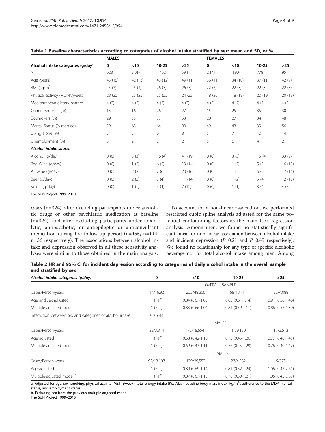|                                   | <b>MALES</b> |         |           |                | <b>FEMALES</b> |         |                |         |
|-----------------------------------|--------------|---------|-----------|----------------|----------------|---------|----------------|---------|
| Alcohol intake categories (g/day) | 0            | $<$ 10  | $10 - 25$ | $>25$          | 0              | < 10    | $10 - 25$      | $>25$   |
| N                                 | 628          | 3,017   | 1,462     | 594            | 2,141          | 4,904   | 778            | 95      |
| Age (years)                       | 43 (15)      | 42 (13) | 43 (12)   | 49 (11)        | 36(11)         | 34 (10) | 37(11)         | 42 (9)  |
| BMI ( $kg/m2$ )                   | 25(3)        | 25(3)   | 26(3)     | 26(3)          | 22(3)          | 22(3)   | 22(3)          | 22(3)   |
| Physical activity (MET-h/week)    | 28 (35)      | 25(25)  | 25(25)    | 24 (22)        | 18 (20)        | 18 (19) | 20 (19)        | 20 (18) |
| Mediterranean dietary pattern     | 4(2)         | 4(2)    | 4(2)      | 4(2)           | 4(2)           | 4(2)    | 4(2)           | 4(2)    |
| Current smokers (%)               | 13           | 16      | 26        | 27             | 15             | 25      | 35             | 30      |
| Ex-smokers (%)                    | 29           | 35      | 37        | 53             | 20             | 27      | 34             | 48      |
| Marital Status (% married)        | 59           | 63      | 64        | 80             | 49             | 43      | 39             | 56      |
| Living alone (%)                  | 5            | 5       | 6         | 8              | 5              | 7       | 10             | 14      |
| Unemployment (%)                  | 3            | 2       | 2         | $\overline{2}$ | 5              | 6       | $\overline{4}$ | 2       |
| Alcohol intake source             |              |         |           |                |                |         |                |         |
| Alcohol (g/day)                   | 0(0)         | 5(3)    | 16(4)     | 41 (19)        | 0(0)           | 3(3)    | 15(4)          | 33(9)   |
| Red Wine (g/day)                  | 0(0)         | 1(2)    | 6(5)      | 19 (14)        | 0(0)           | 1(2)    | 5(5)           | 16(13)  |
| All wine (g/day)                  | 0(0)         | 2(2)    | 7(6)      | 23(16)         | 0(0)           | 1(2)    | 6(6)           | 17(14)  |
| Beer (g/day)                      | 0(0)         | 2(2)    | 5(4)      | 11(14)         | 0(0)           | 1(2)    | 5(4)           | 12 (12) |
| Spirits (g/day)                   | 0(0)         | 1(1)    | 4(4)      | 7(12)          | 0(0)           | 1(1)    | 3(4)           | 4(7)    |

<span id="page-4-0"></span>Table 1 Baseline characteristics according to categories of alcohol intake stratified by sex: mean and SD, or %

The SUN Project 1999–2010.

cases (n=324), after excluding participants under anxiolitic drugs or other psychiatric medication at baseline (n=324), and after excluding participants under anxiolytic, antipsychotic, or antiepileptic or anticonvulsant medication during the follow-up period (n=455, n=114, n=36 respectively). The associations between alcohol intake and depression observed in all these sensitivity analyses were similar to those obtained in the main analysis.

To account for a non-linear association, we performed restricted cubic spline analysis adjusted for the same potential confounding factors as the main Cox regression analysis. Among men, we found no statistically significant linear or non-linear association between alcohol intake and incident depression  $(P=0.21$  and  $P=0.49$  respectively). We found no relationship for any type of specific alcoholic beverage nor for total alcohol intake among men. Among

|                       | Table 2 HR and 95% CI for incident depression according to categories of daily alcohol intake in the overall sample |  |  |
|-----------------------|---------------------------------------------------------------------------------------------------------------------|--|--|
| and stratified by sex |                                                                                                                     |  |  |

| Alcohol intake categories (g/day)                        | 0              | < 10                   | $10 - 25$              | $>25$                  |  |
|----------------------------------------------------------|----------------|------------------------|------------------------|------------------------|--|
|                                                          |                | <b>OVERALL SAMPLE</b>  |                        |                        |  |
| Cases/Person-years                                       | 114/16,921     | 255/48,206             | 68/13,711              | 22/4,088               |  |
| Age and sex adjusted                                     | 1 (Ref.)       | $0.84(0.67-1.05)$      | $0.83(0.61 - 1.14)$    | $0.91(0.56-1.46)$      |  |
| Multiple-adjusted model <sup>a</sup>                     | 1 (Ref.)       | $0.83(0.66-1.04)$      | $0.81(0.59-1.11)$      | $0.86$ $(0.53 - 1.39)$ |  |
| Interaction between sex and categories of alcohol intake | $P = 0.644$    |                        |                        |                        |  |
|                                                          |                |                        | <b>MALES</b>           |                        |  |
| Cases/Person-years                                       | 22/3,814       | 76/18,654              | 41/9,130               | 17/3,513               |  |
| Age adjusted                                             | $1$ (Ref.)     | $0.68$ $(0.42 - 1.10)$ | $0.75(0.45-1.26)$      | $0.77$ $(0.40-1.45)$   |  |
| Multiple-adjusted model b                                | $1$ (Ref.)     | $0.69(0.43-1.11)$      | $0.76$ $(0.45 - 1.29)$ | $0.76(0.40-1.47)$      |  |
|                                                          | <b>FEMALES</b> |                        |                        |                        |  |
| Cases/Person-years                                       | 92/13,107      | 179/29,552             | 27/4,582               | 5/575                  |  |
| Age adjusted                                             | $1$ (Ref.)     | $0.89(0.69-1.14)$      | $0.81$ $(0.52 - 1.24)$ | $1.06(0.43-2.61)$      |  |
| Multiple-adjusted model b                                | (Ref.)         | $0.87(0.67-1.13)$      | $0.78(0.50-1.21)$      | 1.06 (0.43-2.63)       |  |

a. Adjusted for age, sex, smoking, physical activity (MET-h/week), total energy intake (Kcal/day), baseline body mass index (kg/m<sup>2</sup>), adherence to the MDP, marital status, and employment status.

b. Excluding sex from the previous multiple-adjusted model.

The SUN Project 1999–2010.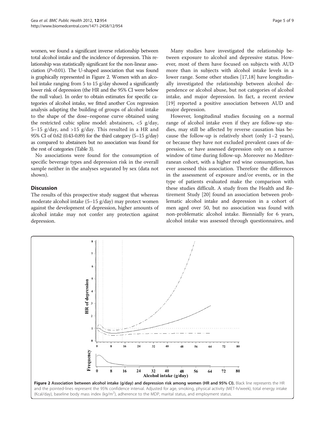women, we found a significant inverse relationship between total alcohol intake and the incidence of depression. This relationship was statistically significant for the non-linear association  $(P=0.01)$ . The U-shaped association that was found is graphically represented in Figure 2. Women with an alcohol intake ranging from 5 to 15 g/day showed a significantly lower risk of depression (the HR and the 95% CI were below the null value). In order to obtain estimates for specific categories of alcohol intake, we fitted another Cox regression analysis adapting the building of groups of alcohol intake to the shape of the dose–response curve obtained using the restricted cubic spline model: abstainers, <5 g/day, 5–15 g/day, and  $>15$  g/day. This resulted in a HR and 95% CI of 0.62 (0.43-0.89) for the third category (5–15 g/day) as compared to abstainers but no association was found for the rest of categories (Table [3\)](#page-6-0).

No associations were found for the consumption of specific beverage types and depression risk in the overall sample neither in the analyses separated by sex (data not shown).

## **Discussion**

The results of this prospective study suggest that whereas moderate alcohol intake (5–15 g/day) may protect women against the development of depression, higher amounts of alcohol intake may not confer any protection against depression.

Many studies have investigated the relationship between exposure to alcohol and depressive status. However, most of them have focused on subjects with AUD more than in subjects with alcohol intake levels in a lower range. Some other studies [\[17,18](#page-8-0)] have longitudinally investigated the relationship between alcohol dependence or alcohol abuse, but not categories of alcohol intake, and major depression. In fact, a recent review [[19\]](#page-8-0) reported a positive association between AUD and major depression.

However, longitudinal studies focusing on a normal range of alcohol intake even if they are follow-up studies, may still be affected by reverse causation bias because the follow-up is relatively short (only  $1-2$  years), or because they have not excluded prevalent cases of depression, or have assessed depression only on a narrow window of time during follow-up. Moreover no Mediterranean cohort, with a higher red wine consumption, has ever assessed this association. Therefore the differences in the assessment of exposure and/or events, or in the type of patients evaluated make the comparison with these studies difficult. A study from the Health and Retirement Study [\[20\]](#page-8-0) found an association between problematic alcohol intake and depression in a cohort of men aged over 50, but no association was found with non-problematic alcohol intake. Biennially for 6 years, alcohol intake was assessed through questionnaires, and

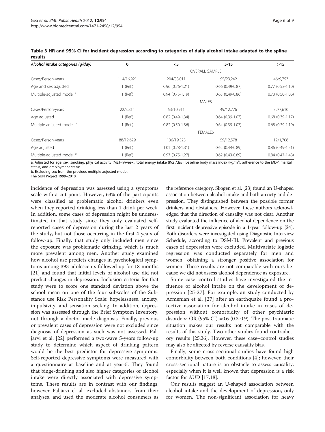| Alcohol intake categories (g/day)    | 0              | $<$ 5                 | $5 - 15$            | $>15$                |  |  |
|--------------------------------------|----------------|-----------------------|---------------------|----------------------|--|--|
|                                      |                | <b>OVERALL SAMPLE</b> |                     |                      |  |  |
| Cases/Person-years                   | 114/16,921     | 204/33,011            | 95/23,242           | 46/9,753             |  |  |
| Age and sex adjusted                 | $1$ (Ref.)     | $0.96(0.76-1.21)$     | $0.66$ (0.49-0.87)  | $0.77$ $(0.53-1.10)$ |  |  |
| Multiple-adjusted model <sup>a</sup> | $1$ (Ref.)     | $0.94(0.75-1.19)$     | $0.65(0.49 - 0.86)$ | $0.73$ $(0.50-1.06)$ |  |  |
|                                      | <b>MALES</b>   |                       |                     |                      |  |  |
| Cases/Person-years                   | 22/3,814       | 53/10,911             | 49/12,776           | 32/7,610             |  |  |
| Age adjusted                         | $1$ (Ref.)     | $0.82$ (0.49-1.34)    | $0.64(0.39-1.07)$   | $0.68$ $(0.39-1.17)$ |  |  |
| Multiple-adjusted model b            | $1$ (Ref.)     | $0.82$ (0.50-1.36)    | $0.64(0.39-1.07)$   | $0.68(0.39-1.19)$    |  |  |
|                                      | <b>FEMALES</b> |                       |                     |                      |  |  |
| Cases/Person-years                   | 88/12,629      | 136/19,523            | 59/12,578           | 12/1,706             |  |  |
| Age adjusted                         | $1$ (Ref.)     | $1.01(0.78-1.31)$     | $0.62$ (0.44-0.89)  | $0.86(0.49-1.51)$    |  |  |
| Multiple-adjusted model <sup>b</sup> | $1$ (Ref.)     | $0.97(0.75-1.27)$     | $0.62$ (0.43-0.89)  | $0.84(0.47-1.48)$    |  |  |

<span id="page-6-0"></span>Table 3 HR and 95% CI for incident depression according to categories of daily alcohol intake adapted to the spline results

a. Adjusted for age, sex, smoking, physical activity (MET-h/week), total energy intake (Kcal/day), baseline body mass index (kg/m<sup>2</sup>), adherence to the MDP, marital status, and employment status.

b. Excluding sex from the previous multiple-adjusted model.

The SUN Project 1999–2010.

incidence of depression was assessed using a symptoms scale with a cut-point. However, 63% of the participants were classified as problematic alcohol drinkers even when they reported drinking less than 1 drink per week. In addition, some cases of depression might be underestimated in that study since they only evaluated selfreported cases of depression during the last 2 years of the study, but not those occurring in the first 4 years of follow-up. Finally, that study only included men since the exposure was problematic drinking, which is much more prevalent among men. Another study examined how alcohol use predicts changes in psychological symptoms among 393 adolescents followed up for 18 months [[21\]](#page-8-0) and found that initial levels of alcohol use did not predict changes in depression. Inclusion criteria for that study were to score one standard deviation above the school mean on one of the four subscales of the Substance use Risk Personality Scale: hopelessness, anxiety, impulsivity, and sensation seeking. In addition, depression was assessed through the Brief Symptom Inventory, not through a doctor made diagnosis. Finally, previous or prevalent cases of depression were not excluded since diagnosis of depression as such was not assessed. Paljärvi et al. [\[22](#page-8-0)] performed a two-wave 5-years follow-up study to determine which aspect of drinking pattern would be the best predictor for depressive symptoms. Self-reported depressive symptoms were measured with a questionnaire at baseline and at year-5. They found that binge-drinking and also higher categories of alcohol intake were directly associated with depressive symptoms. These results are in contrast with our findings, however Paljärvi el al. excluded abstainers from their analyses, and used the moderate alcohol consumers as

the reference category. Skogen et al. [\[23](#page-8-0)] found an U-shaped association between alcohol intake and both anxiety and depression. They distinguished between the possible former drinkers and abstainers. However, these authors acknowledged that the direction of causality was not clear. Another study evaluated the influence of alcohol dependence on the first incident depressive episode in a 1-year follow-up [\[24](#page-9-0)]. Both disorders were investigated using Diagnostic Interview Schedule, according to DSM-III. Prevalent and previous cases of depression were excluded. Multivariate logistic regression was conducted separately for men and women, obtaining a stronger positive association for women. These results are not comparable with ours because we did not assess alcohol dependence as exposure.

Some case–control studies have investigated the influence of alcohol intake on the development of depression [[25](#page-9-0)-[27](#page-9-0)]. For example, an study conducted by Armenian et al. [[27](#page-9-0)] after an earthquake found a protective association for alcohol intake in cases of depression without comorbidity of other psychiatric disorders: OR  $(95\% \text{ CI}) = 0.6 (0.3-0.9)$ . The post-traumatic situation makes our results not comparable with the results of this study. Two other studies found contradictory results [\[25,26\]](#page-9-0). However, these case–control studies may also be affected by reverse causality bias.

Finally, some cross-sectional studies have found high comorbidity between both conditions [\[4](#page-8-0)]; however, their cross-sectional nature is an obstacle to assess causality, especially when it is well known that depression is a risk factor for AUD [[17,18\]](#page-8-0).

Our results suggest an U-shaped association between alcohol intake and the development of depression, only for women. The non-significant association for heavy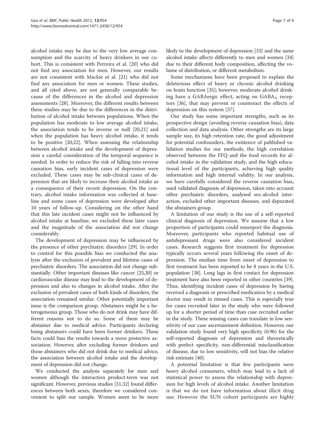alcohol intake may be due to the very low average consumption and the scarcity of heavy drinkers in our cohort. This is consistent with Perreira et al. [\[20\]](#page-8-0) who did not find any association for men. However, our results are not consistent with Mackie et al. [[21\]](#page-8-0) who did not find any association for men or women. These studies, and all cited above, are not generally comparable because of the differences in the alcohol and depression assessments [[28\]](#page-9-0). Moreover, the different results between these studies may be due to the differences in the distribution of alcohol intake between populations. When the population has moderate to low average alcohol intake, the association tends to be inverse or null [\[20,21\]](#page-8-0) and when the population has heavy alcohol intake, it tends to be positive [[20,22](#page-8-0)]. When assessing the relationship between alcohol intake and the development of depression a careful consideration of the temporal sequence is needed. In order to reduce the risk of falling into reverse causation bias, early incident cases of depression were excluded. These cases may be sub-clinical cases of depression that are likely to increase their alcohol intake as a consequence of their recent depression. On the contrary, alcohol intake information was collected at baseline and some cases of depression were developed after 10 years of follow-up. Considering on the other hand that this late incident cases might not be influenced by alcohol intake at baseline, we excluded these later cases and the magnitude of the association did not change considerably.

The development of depression may be influenced by the presence of other psychiatric disorders [\[29](#page-9-0)]. In order to control for this possible bias we conducted the analysis after the exclusion of prevalent and lifetime cases of psychiatric disorders. The association did not change substantially. Other important diseases like cancer [\[25,30](#page-9-0)] or cardiovascular disease may lead to the development of depression and also to changes in alcohol intake. After the exclusion of prevalent cases of both kinds of disorders, the association remained similar. Other potentially important issue is the comparison group. Abstainers might be a heterogeneous group. Those who do not drink may have different reasons not to do so. Some of them may be abstainer due to medical advice. Participants declaring being abstainers could have been former drinkers. These facts could bias the results towards a more protective association. However, after excluding former drinkers and those abstainers who did not drink due to medical advice, the association between alcohol intake and the development of depression did not change.

We conducted the analysis separately for men and women although the interaction product-term was not significant. However, previous studies [[31,32](#page-9-0)] found differences between both sexes, therefore we considered convenient to split our sample. Women seem to be more likely to the development of depression [\[33\]](#page-9-0) and the same alcohol intake affects differently to men and women [[34](#page-9-0)] due to their different body composition, affecting the volume of distribution, or different metabolism.

Some mechanisms have been proposed to explain the deleterious effect of heavy or chronic alcohol drinking on brain function [[35\]](#page-9-0); however, moderate alcohol drinking have a GABAergic effect, acting on GABAA receptors [[36\]](#page-9-0), that may prevent or counteract the effects of depression on this system [\[37](#page-9-0)].

Our study has some important strengths, such as its prospective design (avoiding reverse causation bias), data collection and data analysis. Other strengths are its large sample size, its high retention rate, the good adjustment for potential confounders, the existence of published validation studies for our methods, the high correlation observed between the FFQ and the food records for alcohol intake in the validation study, and the high educational level of the participants, achieving high quality information and high internal validity. In our analysis, we have carefully considered the reverse causation bias, used validated diagnosis of depression, taken into account other psychiatric disorders, analysed sex-alcohol interaction, excluded other important diseases, and depurated the abstainers group.

A limitation of our study is the use of a self-reported clinical diagnosis of depression. We assume that a low proportion of participants could misreport the diagnosis. Moreover, participants who reported habitual use of antidepressant drugs were also considered incident cases. Research suggests first treatment for depression typically occurs several years following the onset of depression. The median time from onset of depression to first treatment has been reported to be 8 years in the U.S. population [[38](#page-9-0)]. Long lags in first contact for depression treatment have also been reported in other countries [[39](#page-9-0)]. Thus, identifying incident cases of depression by having received a diagnosis or prescribed medication by a medical doctor may result in missed cases. This is especially true for cases recruited later in the study who were followed up for a shorter period of time than case recruited earlier in the study. These missing cases can translate in low sensitivity of our case ascertainment definition. However, our validation study found very high specificity (0.96) for the self-reported diagnosis of depression and theoretically with perfect specificity, non-differential misclassification of disease, due to low sensitivity, will not bias the relative risk estimate [\[40\]](#page-9-0).

A potential limitation is that few participants were heavy alcohol consumers, which may lead to a lack of statistical power to assess the relationship with depression for high levels of alcohol intake. Another limitation is that we do not have information about illicit drug use. However the SUN cohort participants are highly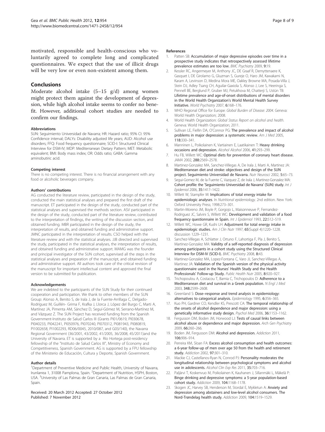<span id="page-8-0"></span>motivated, responsible and health-conscious who voluntarily agreed to complete long and complicated questionnaires. We expect that the use of illicit drugs will be very low or even non-existent among them.

### Conclusions

Moderate alcohol intake (5–15 g/d) among women might protect them against the development of depression, while high alcohol intake seems to confer no benefit. However, additional cohort studies are needed to confirm our findings.

#### Abbreviations

SUN: Seguimiento Universidad de Navarra; HR: Hazard ratio; 95% CI: 95% Confidence interval; DALYs: Disability adjusted life years; AUD: Alcohol use disorders; FFQ: Food frequency questionnaire; SCID-I: Structured Clinical Interview for DSM-IV; MDP: Mediterranean Dietary Pattern; MET: Metabolic equivalent; BMI: Body mass index; OR: Odds ratio; GABA: Gamma aminobutiric acid.

#### Competing interest

There is no competing interest. There is no financial arrangement with any food or alcoholic beverages company.

#### Authors' contributions

AG conducted the literature review, participated in the design of the study, conducted the main statistical analyses and prepared the first draft of the manuscript. ET participated in the design of the study, conducted part of the statistical analyses and supervised the methods section. ASV participated in the design of the study, conducted part of the literature review, contributed to the interpretation of findings, the writing of the discussion section, and obtained funding. MBR participated in the design of the study, the interpretation of results, and obtained funding and administrative support. JMNC participated in the interpretation of results. CSO helped with the literature review and with the statistical analyses. JJB directed and supervised the study, participated in the statistical analyses, the interpretation of results, and obtained funding and administrative support. MAMG was the founder and principal investigator of the SUN cohort, supervised all the steps in the statistical analyses and preparation of the manuscript, and obtained funding and administrative support. All authors took care of the critical revision of the manuscript for important intellectual content and approved the final version to be submitted for publication.

#### Acknowledgements

We are indebted to the participants of the SUN Study for their continued cooperation and participation. We thank to other members of the SUN Group: Alonso A, Benito S, de Irala J, de la Fuente-Arrillaga C, Delgado-Rodríguez M, Guillén- Grima F, Krafka J, Llorca J, López del Burgo C, Marti A, Martínez JA, Pimenta AM, Sánchez D, Seguí-Gómez M, Serrano-Martínez M, and Vázquez Z. The SUN Project has received funding from the Spanish Government-Instituto de Salud Carlos III (Grants PI01/0619, PI030678, PI040233, PI042241, PI050976, PI070240, PI070312, PI081943, PI080819, PI1002658, PI1002293, RD06/0045, 2010/087, and G03/140), the Navarra Regional Government (36/2001, 43/2002, 41/2005, 36/2008, 45/2011)and the University of Navarra. ET is supported by a Río Hortega post-residency fellowship of the "Instituto de Salud Carlos III", Ministry of Economy and Competitiveness, Spanish Government. AG is supported by a FPU fellowship of the Ministerio de Educación, Cultura y Deporte, Spanish Government.

#### Author details

<sup>1</sup>Department of Preventive Medicine and Public Health, University of Navarra, Irunlarrea 1, 31008 Pamplona, Spain. <sup>2</sup>Department of Nutrition, HSPH, Boston, USA. <sup>3</sup>University of Las Palmas de Gran Canaria, Las Palmas de Gran Canaria, Spain.

Received: 20 March 2012 Accepted: 27 October 2012 Published: 7 November 2012

#### References

- 1. Patten SB: Accumulation of major depressive episodes over time in a prospective study indicates that retrospectively assessed lifetime prevalence estimates are too low. BMC Psychiatry 2009, 9:19.
- 2. Kessler RC, Angermeyer M, Anthony JC, DE Graaf R, Demyttenaere K, Gasquet I, DE Girolamo G, Gluzman S, Gureje O, Haro JM, Kawakami N, Karam A, Levinson D, Medina Mora ME, Oakley Browne MA, Posada-Villa J, Stein DJ, Adley Tsang CH, Aguilar-Gaxiola S, Alonso J, Lee S, Heeringa S, Pennell BE, Berglund P, Gruber MJ, Petukhova M, Chatterji S, Ustün TB: Lifetime prevalence and age-of-onset distributions of mental disorders in the World Health Organization's World Mental Health Survey Initiative. World Psychiatry 2007, 6:168–176.
- 3. WHO Regional Office for Europe: Global Burden of Disease: 2004. Geneva: World Health Organization; 2008.
- 4. World Health Organization: Global Status Report on alcohol and health. Geneva: World Health Organization; 2011.
- 5. Sullivan LE, Fiellin DA, O'Connor PG: The prevalence and impact of alcohol problems in major depression: a systematic review. Am J Med 2005, 118:330–341.
- 6. Manninen L, Poikolainen K, Vartiainen E, Laatikainen T: Heavy drinking occasions and depression. Alcohol Alcohol 2006, 41:293–299.
- Hu FB, Willett WC: Optimal diets for prevention of coronary heart disease. JAMA 2002, 288:2569–2578.
- 8. Martinez-Gonzalez MA, Sanchez-Villegas A, De Irala J, Marti A, Martinez JA: Mediterranean diet and stroke: objectives and design of the SUN project. Seguimiento Universidad de Navarra. Nutr Neurosci 2002, 5:65-73.
- 9. Segui-Gomez M, de la Fuente C, Vazquez Z, de Irala J, Martinez-Gonzalez MA: Cohort profile: the 'Seguimiento Universidad de Navarra' (SUN) study. Int J Epidemiol 2006, 35:1417–1422.
- 10. Willett W, Stampfer M: Implications of total energy intake for epidemiologic analyses. In Nutritional epidemiology. 2nd edition. New York: Oxford University Press; 1998:273–301.
- 11. Martin-Moreno JM, Boyle P, Gorgojo L, Maisonneuve P, Fernandez-Rodriguez JC, Salvini S, Willett WC: Development and validation of a food frequency questionnaire in Spain. Int J Epidemiol 1993, 22:512-519.
- 12. Willett WC, Howe GR, Kushi LH: Adjustment for total energy intake in epidemiologic studies. Am J Clin Nutr 1997, 65(Suppl 4):1220–1228. discussion 1229–1231.
- 13. Sanchez-Villegas A, Schlatter J, Ortuno F, Lahortiga F, Pla J, Benito S, Martinez-Gonzalez MA: Validity of a self-reported diagnosis of depression among participants in a cohort study using the Structured Clinical Interview for DSM-IV (SCID-I). BMC Psychiatry 2008, 8:43.
- 14. Martinez-Gonzalez MA, Lopez-Fontana C, Varo JJ, Sanchez-Villegas A, Martinez JA: Validation of the Spanish version of the physical activity questionnaire used in the Nurses' Health Study and the Health Professionals' Follow-up Study. Public Health Nutr 2005, 8:920-927.
- 15. Trichopoulou A, Costacou T, Bamia C, Trichopoulos D: Adherence to a Mediterranean diet and survival in a Greek population. N Engl J Med 2003, 348:2599–2608.
- 16. Greenland S: Dose–response and trend analysis in epidemiology: alternatives to categorical analysis. Epidemiology 1995, 6:356–365.
- 17. Kuo PH, Gardner CO, Kendler KS, Prescott CA: The temporal relationship of the onsets of alcohol dependence and major depression: using a genetically informative study design. Psychol Med 2006, 36:1153–1162.
- 18. Fergusson DM, Boden JM, Horwood LJ: Tests of causal links between alcohol abuse or dependence and major depression. Arch Gen Psychiatry 2009, 66:260–266.
- 19. Boden JM, Fergusson DM: Alcohol and depression. Addiction 2011, 106:906–914.
- 20. Perreira KM, Sloan FA: Excess alcohol consumption and health outcomes: a 6-year follow-up of men over age 50 from the health and retirement study. Addiction 2002, 97:301–310.
- 21. Mackie CJ, Castellanos-Ryan N, Conrod PJ: Personality moderates the longitudinal relationship between psychological symptoms and alcohol use in adolescents. Alcohol Clin Exp Res 2011, 35:703–716.
- 22. Paljärvi T, Koskenvuo M, Poikolainen K, Kauhanen J, Sillanmäki L, Mäkelä P: Binge drinking and depressive symptoms: a 5-year population-based cohort study. Addiction 2009, 104:1168–1178.
- 23. Skogen JC, Harvey SB, Henderson M, Stordal E, Mykletun A: Anxiety and depression among abstainers and low-level alcohol consumers. The Nord-Trøndelag health study. Addiction 2009, 104:1519–1529.